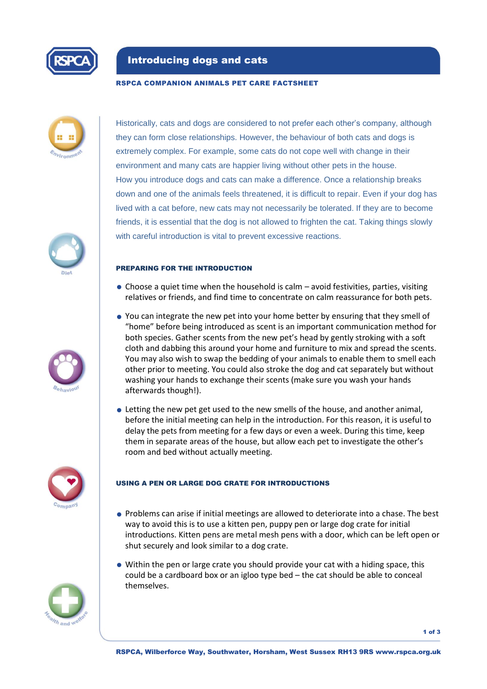

## Introducing dogs and cats

#### RSPCA COMPANION ANIMALS PET CARE FACTSHEET







Historically, cats and dogs are considered to not prefer each other's company, although they can form close relationships. However, the behaviour of both cats and dogs is extremely complex. For example, some cats do not cope well with change in their environment and many cats are happier living without other pets in the house. How you introduce dogs and cats can make a difference. Once a relationship breaks down and one of the animals feels threatened, it is difficult to repair. Even if your dog has lived with a cat before, new cats may not necessarily be tolerated. If they are to become friends, it is essential that the dog is not allowed to frighten the cat. Taking things slowly with careful introduction is vital to prevent excessive reactions.

### PREPARING FOR THE INTRODUCTION

- $\bullet$  Choose a quiet time when the household is calm  $-$  avoid festivities, parties, visiting relatives or friends, and find time to concentrate on calm reassurance for both pets.
- You can integrate the new pet into your home better by ensuring that they smell of "home" before being introduced as scent is an important communication method for both species. Gather scents from the new pet's head by gently stroking with a soft cloth and dabbing this around your home and furniture to mix and spread the scents. You may also wish to swap the bedding of your animals to enable them to smell each other prior to meeting. You could also stroke the dog and cat separately but without washing your hands to exchange their scents (make sure you wash your hands afterwards though!).
- Letting the new pet get used to the new smells of the house, and another animal, before the initial meeting can help in the introduction. For this reason, it is useful to delay the pets from meeting for a few days or even a week. During this time, keep them in separate areas of the house, but allow each pet to investigate the other's room and bed without actually meeting.



### USING A PEN OR LARGE DOG CRATE FOR INTRODUCTIONS

- Problems can arise if initial meetings are allowed to deteriorate into a chase. The best way to avoid this is to use a kitten pen, puppy pen or large dog crate for initial introductions. Kitten pens are metal mesh pens with a door, which can be left open or shut securely and look similar to a dog crate.
- Within the pen or large crate you should provide your cat with a hiding space, this could be a cardboard box or an igloo type bed – the cat should be able to conceal themselves.



1 of 3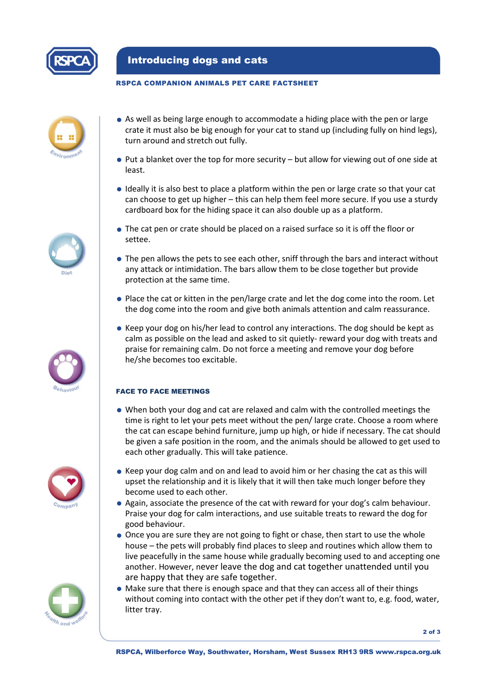

# Introducing dogs and cats

## RSPCA COMPANION ANIMALS PET CARE FACTSHEET



- As well as being large enough to accommodate a hiding place with the pen or large crate it must also be big enough for your cat to stand up (including fully on hind legs), turn around and stretch out fully.
- Put a blanket over the top for more security but allow for viewing out of one side at least.
- Ideally it is also best to place a platform within the pen or large crate so that your cat can choose to get up higher – this can help them feel more secure. If you use a sturdy cardboard box for the hiding space it can also double up as a platform.
- The cat pen or crate should be placed on a raised surface so it is off the floor or settee.
- The pen allows the pets to see each other, sniff through the bars and interact without any attack or intimidation. The bars allow them to be close together but provide protection at the same time.
- Place the cat or kitten in the pen/large crate and let the dog come into the room. Let the dog come into the room and give both animals attention and calm reassurance.
- Keep your dog on his/her lead to control any interactions. The dog should be kept as calm as possible on the lead and asked to sit quietly- reward your dog with treats and praise for remaining calm. Do not force a meeting and remove your dog before he/she becomes too excitable.

## FACE TO FACE MEETINGS

- When both your dog and cat are relaxed and calm with the controlled meetings the time is right to let your pets meet without the pen/ large crate. Choose a room where the cat can escape behind furniture, jump up high, or hide if necessary. The cat should be given a safe position in the room, and the animals should be allowed to get used to each other gradually. This will take patience.
- Keep your dog calm and on and lead to avoid him or her chasing the cat as this will upset the relationship and it is likely that it will then take much longer before they become used to each other.
- Again, associate the presence of the cat with reward for your dog's calm behaviour. Praise your dog for calm interactions, and use suitable treats to reward the dog for good behaviour.
- Once you are sure they are not going to fight or chase, then start to use the whole house – the pets will probably find places to sleep and routines which allow them to live peacefully in the same house while gradually becoming used to and accepting one another. However, never leave the dog and cat together unattended until you are happy that they are safe together.
- Make sure that there is enough space and that they can access all of their things without coming into contact with the other pet if they don't want to, e.g. food, water, litter tray.









2 of 3